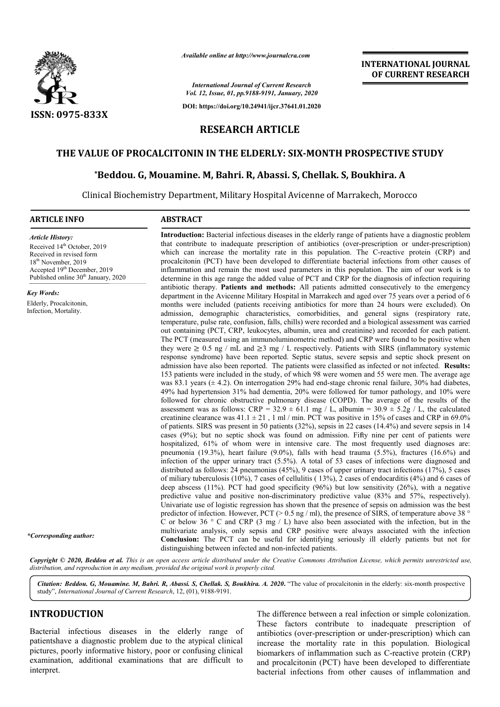

*Available online at http://www.journalcra.com*

*International Journal of Current Research Vol. 12, Issue, 01, pp.9188-9191, January, 2020*

**DOI: https://doi.org/10.24941/ijcr.37641.01.2020**

# **INTERNATIONAL JOURNAL OF CURRENT RESEARCH**

# **RESEARCH ARTICLE**

# **THE VALUE OF PROCALCITONIN IN THE ELDERLY: SIX SIX-MONTH PROSPECTIVE STUDY MONTH PROSPECTIVE STUDY**

## **\*Beddou. G, Mouamine. M, Bahri. R, Abassi. S, Chellak. S, Beddou. Boukhira. A**

Clinical Biochemistry Department, Military Hospital Avicenne of Marrakech, Morocco Biochemistry Department,

#### **ARTICLE INFO ABSTRACT**

*Article History:* Received 14<sup>th</sup> October, 2019 Received in revised form 18th November, 2019 Accepted 19<sup>th</sup> December, 2019 Published online 30<sup>th</sup> January, 2020

*Key Words:*

Elderly, Procalcitonin, Infection, Mortality.

**Introduction:**  Bacterial infectious diseases in the elderly range of patients have a diagnostic problem Introduction: Bacterial infectious diseases in the elderly range of patients have a diagnostic problem<br>that contribute to inadequate prescription of antibiotics (over-prescription or under-prescription) which can increase the mortality rate in this population. The C-reactive protein (CRP) and procalcitonin (PCT) have been developed to differentiate bacterial infections from other causes of inflammation and remain the most used parameters in this population. The aim of our work is to determine in this age range the added value of PCT and CRP for the diagnosis of infection requiring antibiotic therapy. **Patients and methods:** All patients admitted consecutively to the emergency department in the Avicenne Military Hospital in Marrakech and aged over 75 years over a period of 6 months were included (patients receiving antibiotics for more than 24 hours were excluded). On admission, demographic characteristics, comorbidities, and general signs (respiratory rate, temperature, pulse rate, confusion, falls, chills) were recorded and a biological assessment was carried out containing (PCT, CRP, leukocytes, albumin, urea and creatinine) and recorded for each patient. The PCT (measured using an immunoluminometric method) and CRP were found to be positive when they were  $\geq 0.5$  ng / mL and  $\geq 3$  mg / L respectively. Patients with SIRS (inflammatory systemic response syndrome) have been reported. Septic status, severe sepsis and septic shock present on admission have also been reported. The patients were classified as infected or not infected. 153 patients were included in the study, of which 98 were women and 55 were men. The average age was 83.1 years  $(\pm 4.2)$ . On interrogation 29% had end-stage chronic renal failure, 30% had diabetes, 49% had hypertension 31% had dementia, 20% were followed for tumor pathology, and 10% were followed for chronic obstructive pulmonary disease (COPD). The average of the results of the assessment was as follows: CRP =  $32.9 \pm 61.1$  mg / L, albumin =  $30.9 \pm 5.2$  g/ L, the calculated creatinine clearance was  $41.1 \pm 21$ , 1 ml / min. PCT was positive in 15% of cases and CRP in 69.0% of patients. SIRS was present in 50 patients (32%), sepsis in 22 cases (14.4%) and severe sepsis in 14 cases (9%); but no septic shock was found on admission. Fifty nine per cent of patients were hospitalized, 61% of whom were in intensive care. The most frequently used diagnoses are: pneumonia (19.3%), heart failure  $(9.0\%)$ , falls with head trauma  $(5.5\%)$ , fractures  $(16.6\%)$  and infection of the upper urinary tract (5.5%). A total of 53 cases of infections were diagnosed and distributed as follows: 24 pneumonias (45%), 9 cases of upper urinary tract infections (17%), 5 cases of miliary tuberculosis (10%), 7 cases of cellulitis ( 13%), 2 cases of endocarditis (4%) and 6 cases of deep abscess (11%). PCT had good specificity (96%) but low sensitivity (26%), with a negative predictive value and positive non-discriminatory predictive value (83% and 57%, respectively). Univariate use of logistic regression has shown that the presence of sepsis on admission was the best predictor of infection. However, PCT ( $> 0.5$  ng / ml), the presence of SIRS, of temperature above 38  $\degree$ C or below 36  $\degree$  C and CRP (3 mg / L) have also been associated with the infection, but in the multivariate analysis, only sepsis and CRP positive were always associated with the infection **Conclusion:** The PCT can be useful for identifying seriously ill elderly patients but not for distinguishing between infected and non-infected patients. procalcitonin (PCT) have been developed to differentiate bacterial infections from other causes of inflammation and remain the most used parameters in this population. The aim of our work is to determine in this age range out containing (PCT, CRP, leukocytes, albumin, urea and creatinine) and recorded for each patient.<br>The PCT (measured using an immunoluminometric method) and CRP were found to be positive when<br>they were ≥ 0.5 ng / mL and ≥ 153 patients were included in the study, of which 98 were women and 55 were men. The average age was 83.1 years ( $\pm$  4.2). On interrogation 29% had end-stage chronic renal failure, 30% had diabetes, 49% had hypertension hospitalized, 61% of whom were in intensive care. The most frequently used diagnoses are: pneumonia (19.3%), heart failure (9.0%), falls with head trauma (5.5%), fractures (16.6%) and infection of the upper urinary tract ( predictor of infection. However, PCT (> 0.5 ng / ml), the presence of SIRS, of temperature above 38 °<br>C or below 36 ° C and CRP (3 mg / L) have also been associated with the infection, but in the<br>multivariate analysis, on **INTERNATIONAL JOURNAL OF CURRENT RESEARCH COF CURRENT RESEARCH (OF CURRENT RESEARCH (OF CURRENT RESEARCH)**<br> **As S. Boukhira. A** of Marrakech, Morocco and agenositic problem<br>
thus (over-prescription or under-prescription)

Copyright © 2020, Beddou et al. This is an open access article distributed under the Creative Commons Attribution License, which permits unrestricted use, *distribution, and reproduction in any medium, provided the original work is properly cited.*

Citation: Beddou. G, Mouamine. M, Bahri. R, Abassi. S, Chellak. S, Boukhira. A. 2020. "The value of procalcitonin in the elderly: six-month prospective study", *International Journal of Current Research*, 12 12, (01), 9188-9191.

# **INTRODUCTION**

*\*Corresponding author:*

Bacterial infectious diseases in the elderly range of patientshave a diagnostic problem due to the atypical clinical pictures, poorly informative history, poor or confusing clinical examination, additional examinations that are difficult to interpret.

The difference between a real infection or simple colonization. These factors contribute to inadequate prescription of antibiotics (over-prescription or under increase the mortality rate in this population. Biological increase the mortality rate in this population. Biological biomarkers of inflammation such as C-reactive protein (CRP) and procalcitonin (PCT) have been developed to differentiate bacterial infections from other causes of inflammation and difference between a real infection or simple colonization.<br>See factors contribute to inadequate prescription of<br>protics (over-prescription or under-prescription) which can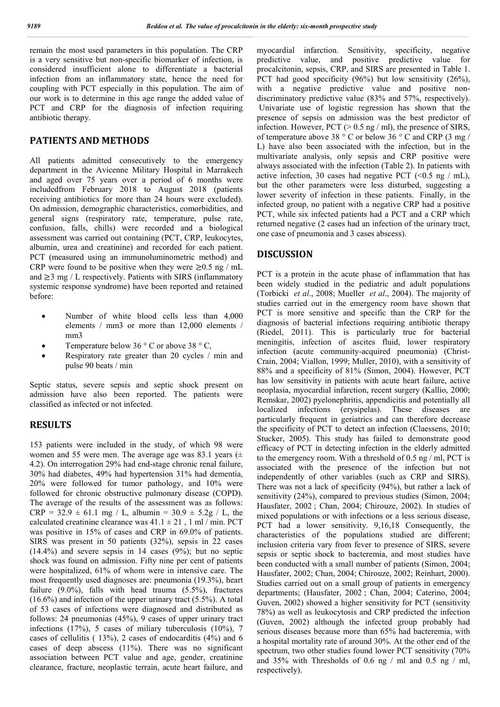remain the most used parameters in this population. The CRP is a very sensitive but non-specific biomarker of infection, is considered insufficient alone to differentiate a bacterial infection from an inflammatory state, hence the need for coupling with PCT especially in this population. The aim of our work is to determine in this age range the added value of PCT and CRP for the diagnosis of infection requiring antibiotic therapy.

### **PATIENTS AND METHODS**

All patients admitted consecutively to the emergency department in the Avicenne Military Hospital in Marrakech and aged over 75 years over a period of 6 months were includedfrom February 2018 to August 2018 (patients receiving antibiotics for more than 24 hours were excluded). On admission, demographic characteristics, comorbidities, and general signs (respiratory rate, temperature, pulse rate, confusion, falls, chills) were recorded and a biological assessment was carried out containing (PCT, CRP, leukocytes, albumin, urea and creatinine) and recorded for each patient. PCT (measured using an immunoluminometric method) and CRP were found to be positive when they were  $\geq 0.5$  ng / mL and  $\geq$ 3 mg / L respectively. Patients with SIRS (inflammatory systemic response syndrome) have been reported and retained before:

- Number of white blood cells less than 4,000 elements / mm3 or more than 12,000 elements / mm3
- Temperature below 36 ° C or above 38 ° C.
- Respiratory rate greater than 20 cycles / min and pulse 90 beats / min

Septic status, severe sepsis and septic shock present on admission have also been reported. The patients were classified as infected or not infected.

### **RESULTS**

153 patients were included in the study, of which 98 were women and 55 were men. The average age was 83.1 years  $(\pm$ 4.2). On interrogation 29% had end-stage chronic renal failure, 30% had diabetes, 49% had hypertension 31% had dementia, 20% were followed for tumor pathology, and 10% were followed for chronic obstructive pulmonary disease (COPD). The average of the results of the assessment was as follows:  $CRP = 32.9 \pm 61.1$  mg / L, albumin =  $30.9 \pm 5.2$ g / L, the calculated creatinine clearance was  $41.1 \pm 21$ , 1 ml / min. PCT was positive in 15% of cases and CRP in 69.0% of patients. SIRS was present in 50 patients (32%), sepsis in 22 cases  $(14.4\%)$  and severe sepsis in 14 cases  $(9\%)$ ; but no septic shock was found on admission. Fifty nine per cent of patients were hospitalized, 61% of whom were in intensive care. The most frequently used diagnoses are: pneumonia (19.3%), heart failure (9.0%), falls with head trauma (5.5%), fractures (16.6%) and infection of the upper urinary tract (5.5%). A total of 53 cases of infections were diagnosed and distributed as follows: 24 pneumonias (45%), 9 cases of upper urinary tract infections (17%), 5 cases of miliary tuberculosis (10%), 7 cases of cellulitis ( 13%), 2 cases of endocarditis (4%) and 6 cases of deep abscess (11%). There was no significant association between PCT value and age, gender, creatinine clearance, fracture, neoplastic terrain, acute heart failure, and myocardial infarction. Sensitivity, specificity, negative predictive value, and positive predictive value for procalcitonin, sepsis, CRP, and SIRS are presented in Table 1. PCT had good specificity (96%) but low sensitivity (26%), with a negative predictive value and positive nondiscriminatory predictive value (83% and 57%, respectively). Univariate use of logistic regression has shown that the presence of sepsis on admission was the best predictor of infection. However,  $PCT$  ( $> 0.5$  ng / ml), the presence of SIRS, of temperature above 38 ° C or below 36 ° C and CRP (3 mg / L) have also been associated with the infection, but in the multivariate analysis, only sepsis and CRP positive were always associated with the infection (Table 2). In patients with active infection, 30 cases had negative PCT  $(<0.5$  ng  $/$  mL), but the other parameters were less disturbed, suggesting a lower severity of infection in these patients. Finally, in the infected group, no patient with a negative CRP had a positive PCT, while six infected patients had a PCT and a CRP which returned negative (2 cases had an infection of the urinary tract, one case of pneumonia and 3 cases abscess).

# **DISCUSSION**

PCT is a protein in the acute phase of inflammation that has been widely studied in the pediatric and adult populations (Torbicki *et al*., 2008; Mueller *et al*., 2004). The majority of studies carried out in the emergency room have shown that PCT is more sensitive and specific than the CRP for the diagnosis of bacterial infections requiring antibiotic therapy (Riedel, 2011). This is particularly true for bacterial meningitis, infection of ascites fluid, lower respiratory infection (acute community-acquired pneumonia) (Christ-Crain, 2004; Viallon, 1999; Muller, 2010), with a sensitivity of 88% and a specificity of 81% (Simon, 2004). However, PCT has low sensitivity in patients with acute heart failure, active neoplasia, myocardial infarction, recent surgery (Kallio, 2000; Remskar, 2002) pyelonephritis, appendicitis and potentially all localized infections (erysipelas). These diseases are particularly frequent in geriatrics and can therefore decrease the specificity of PCT to detect an infection (Claessens, 2010; Stucker, 2005). This study has failed to demonstrate good efficacy of PCT in detecting infection in the elderly admitted to the emergency room. With a threshold of 0.5 ng / ml, PCT is associated with the presence of the infection but not independently of other variables (such as CRP and SIRS). There was not a lack of specificity (94%), but rather a lack of sensitivity (24%), compared to previous studies (Simon, 2004; Hausfater, 2002 ; Chan, 2004; Chirouze, 2002). In studies of mixed populations or with infections or a less serious disease, PCT had a lower sensitivity. 9,16,18 Consequently, the characteristics of the populations studied are different; inclusion criteria vary from fever to presence of SIRS, severe sepsis or septic shock to bacteremia, and most studies have been conducted with a small number of patients (Simon, 2004; Hausfater, 2002; Chan, 2004; Chirouze, 2002; Reinhart, 2000). Studies carried out on a small group of patients in emergency departments; (Hausfater, 2002 ; Chan, 2004; Caterino, 2004; Guven, 2002) showed a higher sensitivity for PCT (sensitivity 78%) as well as leukocytosis and CRP predicted the infection (Guven, 2002) although the infected group probably had serious diseases because more than 65% had bacteremia, with a hospital mortality rate of around 30%. At the other end of the spectrum, two other studies found lower PCT sensitivity (70% and 35% with Thresholds of 0.6 ng / ml and 0.5 ng / ml, respectively).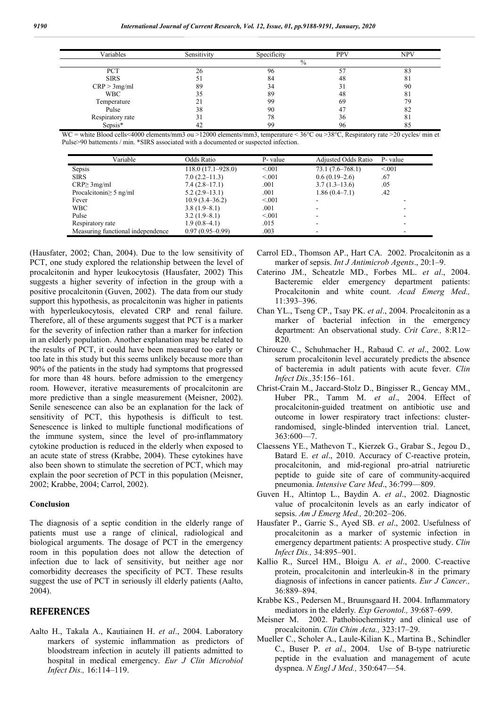| Variables                   | Sensitivity | Specificity | PPV | <b>NPV</b> |
|-----------------------------|-------------|-------------|-----|------------|
|                             |             | $\%$        |     |            |
| PCT                         | ີ           | 96          |     | 83         |
| <b>SIRS</b>                 | 51          | 84          | 48  | 81         |
| CRP > 3mg/ml                | 89          | 34          |     | 90         |
| WBC                         | 35          | 89          | 48  | 81         |
| Temperature                 |             | 99          | 69  | 79         |
| Pulse                       | 38          | 90          |     | 82         |
|                             | 31          | 78          | 36  | 81         |
| Respiratory rate<br>Sepsis* | -42         | 99          | 96  | 85         |

WC = white Blood cells<4000 elements/mm3 ou >12000 elements/mm3, temperature < 36°C ou >38°C, Respiratory rate >20 cycles/ min et Pulse>90 battements / min. \*SIRS associated with a documented or suspected infection.

| Variable                          | Odds Ratio            | P- value | Adjusted Odds Ratio | P- value |
|-----------------------------------|-----------------------|----------|---------------------|----------|
| Sepsis                            | $118.0(17.1 - 928.0)$ | < 0.001  | $73.1(7.6-768.1)$   | < 0.01   |
| <b>SIRS</b>                       | $7.0(2.2 - 11.3)$     | < 0.001  | $0.6(0.19-2.6)$     | .67      |
| $CRP \geq 3mg/ml$                 | $7.4(2.8-17.1)$       | .001     | $3.7(1.3-13.6)$     | .05      |
| Procalcitonin $\geq$ 5 ng/ml      | $5.2(2.9-13.1)$       | .001     | 1.86(0.4–7.1)       | .42      |
| Fever                             | $10.9(3.4 - 36.2)$    | < 0.001  |                     |          |
| <b>WBC</b>                        | $3.8(1.9-8.1)$        | .001     |                     |          |
| Pulse                             | $3.2(1.9-8.1)$        | < 0.001  |                     |          |
| Respiratory rate                  | $1.9(0.8-4.1)$        | .015     |                     |          |
| Measuring functional independence | $0.97(0.95-0.99)$     | .003     |                     |          |

(Hausfater, 2002; Chan, 2004). Due to the low sensitivity of PCT, one study explored the relationship between the level of procalcitonin and hyper leukocytosis (Hausfater, 2002) This suggests a higher severity of infection in the group with a positive procalcitonin (Guven, 2002). The data from our study support this hypothesis, as procalcitonin was higher in patients with hyperleukocytosis, elevated CRP and renal failure. Therefore, all of these arguments suggest that PCT is a marker for the severity of infection rather than a marker for infection in an elderly population. Another explanation may be related to the results of PCT, it could have been measured too early or too late in this study but this seems unlikely because more than 90% of the patients in the study had symptoms that progressed for more than 48 hours. before admission to the emergency room. However, iterative measurements of procalcitonin are more predictive than a single measurement (Meisner, 2002). Senile senescence can also be an explanation for the lack of sensitivity of PCT, this hypothesis is difficult to test. Senescence is linked to multiple functional modifications of the immune system, since the level of pro-inflammatory cytokine production is reduced in the elderly when exposed to an acute state of stress (Krabbe, 2004). These cytokines have also been shown to stimulate the secretion of PCT, which may explain the poor secretion of PCT in this population (Meisner, 2002; Krabbe, 2004; Carrol, 2002).

#### **Conclusion**

The diagnosis of a septic condition in the elderly range of patients must use a range of clinical, radiological and biological arguments. The dosage of PCT in the emergency room in this population does not allow the detection of infection due to lack of sensitivity, but neither age nor comorbidity decreases the specificity of PCT. These results suggest the use of PCT in seriously ill elderly patients (Aalto, 2004).

# **REFERENCES**

Aalto H., Takala A., Kautiainen H. *et al*., 2004. Laboratory markers of systemic inflammation as predictors of bloodstream infection in acutely ill patients admitted to hospital in medical emergency. *Eur J Clin Microbiol Infect Dis.,* 16:114–119.

Carrol ED., Thomson AP., Hart CA. 2002. Procalcitonin as a marker of sepsis. *Int J Antimicrob Agents*., 20:1–9.

- Caterino JM., Scheatzle MD., Forbes ML. *et al*., 2004. Bacteremic elder emergency department patients: Procalcitonin and white count. *Acad Emerg Med.,* 11:393–396.
- Chan YL., Tseng CP., Tsay PK. *et al*., 2004. Procalcitonin as a marker of bacterial infection in the emergency department: An observational study. *Crit Care.,* 8:R12– R20.
- Chirouze C., Schuhmacher H., Rabaud C. *et al*., 2002. Low serum procalcitonin level accurately predicts the absence of bacteremia in adult patients with acute fever. *Clin Infect Dis.,*35:156–161.
- Christ-Crain M., Jaccard-Stolz D., Bingisser R., Gencay MM., Huber PR., Tamm M. *et al*., 2004. Effect of procalcitonin-guided treatment on antibiotic use and outcome in lower respiratory tract infections: clusterrandomised, single-blinded intervention trial. Lancet,  $363:600 - 7$ .
- Claessens YE., Mathevon T., Kierzek G., Grabar S., Jegou D., Batard E. *et al*., 2010. Accuracy of C-reactive protein, procalcitonin, and mid-regional pro-atrial natriuretic peptide to guide site of care of community-acquired pneumonia. *Intensive Care Med*., 36:799—809.
- Guven H., Altintop L., Baydin A. *et al*., 2002. Diagnostic value of procalcitonin levels as an early indicator of sepsis. *Am J Emerg Med.,* 20:202–206.
- Hausfater P., Garric S., Ayed SB. *et al*., 2002. Usefulness of procalcitonin as a marker of systemic infection in emergency department patients: A prospective study. *Clin Infect Dis.,* 34:895–901.
- Kallio R., Surcel HM., Bloigu A. *et al*., 2000. C-reactive protein, procalcitonin and interleukin-8 in the primary diagnosis of infections in cancer patients. *Eur J Cancer.,* 36:889–894.
- Krabbe KS., Pedersen M., Bruunsgaard H. 2004. Inflammatory mediators in the elderly*. Exp Gerontol.,* 39:687–699.
- Meisner M. 2002. Pathobiochemistry and clinical use of procalcitonin. *Clin Chim Acta.,* 323:17–29.
- Mueller C., Scholer A., Laule-Kilian K., Martina B., Schindler C., Buser P. *et al*., 2004. Use of B-type natriuretic peptide in the evaluation and management of acute dyspnea. *N Engl J Med.,* 350:647—54.